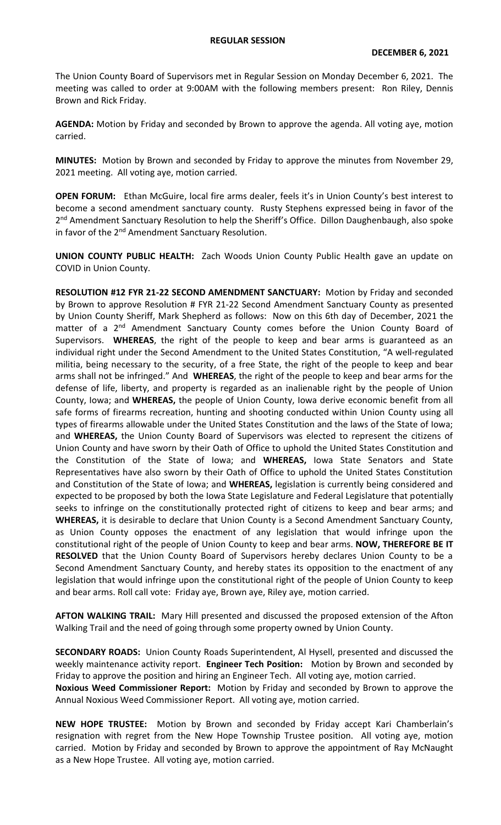The Union County Board of Supervisors met in Regular Session on Monday December 6, 2021. The meeting was called to order at 9:00AM with the following members present: Ron Riley, Dennis Brown and Rick Friday.

**AGENDA:** Motion by Friday and seconded by Brown to approve the agenda. All voting aye, motion carried.

**MINUTES:** Motion by Brown and seconded by Friday to approve the minutes from November 29, 2021 meeting. All voting aye, motion carried.

**OPEN FORUM:** Ethan McGuire, local fire arms dealer, feels it's in Union County's best interest to become a second amendment sanctuary county. Rusty Stephens expressed being in favor of the 2<sup>nd</sup> Amendment Sanctuary Resolution to help the Sheriff's Office. Dillon Daughenbaugh, also spoke in favor of the 2<sup>nd</sup> Amendment Sanctuary Resolution.

**UNION COUNTY PUBLIC HEALTH:** Zach Woods Union County Public Health gave an update on COVID in Union County.

**RESOLUTION #12 FYR 21-22 SECOND AMENDMENT SANCTUARY:** Motion by Friday and seconded by Brown to approve Resolution # FYR 21-22 Second Amendment Sanctuary County as presented by Union County Sheriff, Mark Shepherd as follows: Now on this 6th day of December, 2021 the matter of a 2<sup>nd</sup> Amendment Sanctuary County comes before the Union County Board of Supervisors. **WHEREAS**, the right of the people to keep and bear arms is guaranteed as an individual right under the Second Amendment to the United States Constitution, "A well-regulated militia, being necessary to the security, of a free State, the right of the people to keep and bear arms shall not be infringed." And **WHEREAS**, the right of the people to keep and bear arms for the defense of life, liberty, and property is regarded as an inalienable right by the people of Union County, Iowa; and **WHEREAS,** the people of Union County, Iowa derive economic benefit from all safe forms of firearms recreation, hunting and shooting conducted within Union County using all types of firearms allowable under the United States Constitution and the laws of the State of Iowa; and **WHEREAS,** the Union County Board of Supervisors was elected to represent the citizens of Union County and have sworn by their Oath of Office to uphold the United States Constitution and the Constitution of the State of Iowa; and **WHEREAS,** Iowa State Senators and State Representatives have also sworn by their Oath of Office to uphold the United States Constitution and Constitution of the State of Iowa; and **WHEREAS,** legislation is currently being considered and expected to be proposed by both the Iowa State Legislature and Federal Legislature that potentially seeks to infringe on the constitutionally protected right of citizens to keep and bear arms; and **WHEREAS,** it is desirable to declare that Union County is a Second Amendment Sanctuary County, as Union County opposes the enactment of any legislation that would infringe upon the constitutional right of the people of Union County to keep and bear arms. **NOW, THEREFORE BE IT RESOLVED** that the Union County Board of Supervisors hereby declares Union County to be a Second Amendment Sanctuary County, and hereby states its opposition to the enactment of any legislation that would infringe upon the constitutional right of the people of Union County to keep and bear arms. Roll call vote: Friday aye, Brown aye, Riley aye, motion carried.

**AFTON WALKING TRAIL:** Mary Hill presented and discussed the proposed extension of the Afton Walking Trail and the need of going through some property owned by Union County.

**SECONDARY ROADS:** Union County Roads Superintendent, Al Hysell, presented and discussed the weekly maintenance activity report. **Engineer Tech Position:** Motion by Brown and seconded by Friday to approve the position and hiring an Engineer Tech. All voting aye, motion carried. **Noxious Weed Commissioner Report:** Motion by Friday and seconded by Brown to approve the

Annual Noxious Weed Commissioner Report. All voting aye, motion carried.

**NEW HOPE TRUSTEE:** Motion by Brown and seconded by Friday accept Kari Chamberlain's resignation with regret from the New Hope Township Trustee position. All voting aye, motion carried. Motion by Friday and seconded by Brown to approve the appointment of Ray McNaught as a New Hope Trustee. All voting aye, motion carried.